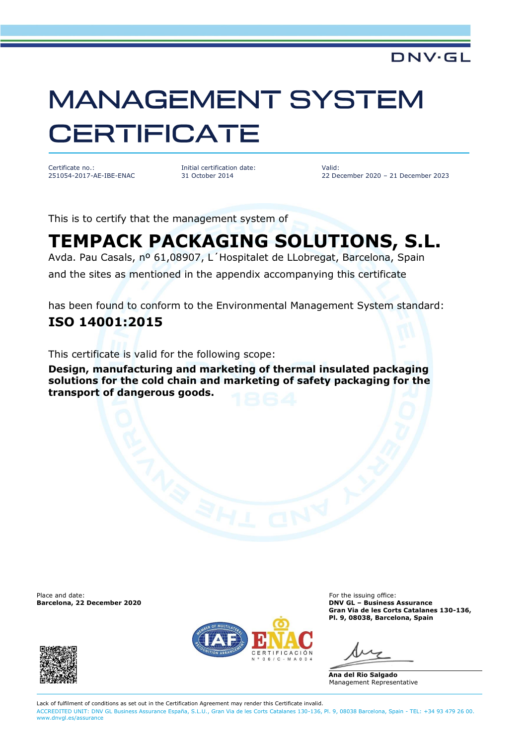## **MANAGEMENT SYSTEM CERTIFICATE**

Certificate no.: 251054-2017-AE-IBE-ENAC Initial certification date: 31 October 2014

Valid: 22 December 2020 – 21 December 2023

**DNV·GL** 

This is to certify that the management system of

## **TEMPACK PACKAGING SOLUTIONS, S.L.**

Avda. Pau Casals, nº 61,08907, L´Hospitalet de LLobregat, Barcelona, Spain

and the sites as mentioned in the appendix accompanying this certificate

has been found to conform to the Environmental Management System standard: **ISO 14001:2015**

This certificate is valid for the following scope:

**Design, manufacturing and marketing of thermal insulated packaging solutions for the cold chain and marketing of safety packaging for the transport of dangerous goods.**

Place and date: **For the issuing office:** For the issuing office: **Barcelona, 22 December 2020 DNV GL – Business Assurance**





**Gran Via de les Corts Catalanes 130-136, Pl. 9, 08038, Barcelona, Spain**

**Ana del Rio Salgado** Management Representative

Lack of fulfilment of conditions as set out in the Certification Agreement may render this Certificate invalid. ACCREDITED UNIT: DNV GL Business Assurance España, S.L.U., Gran Via de les Corts Catalanes 130-136, Pl. 9, 08038 Barcelona, Spain - TEL: +34 93 479 26 00. [www.dnvgl.es/assurance](http://www.dnvgl.es/assurance)